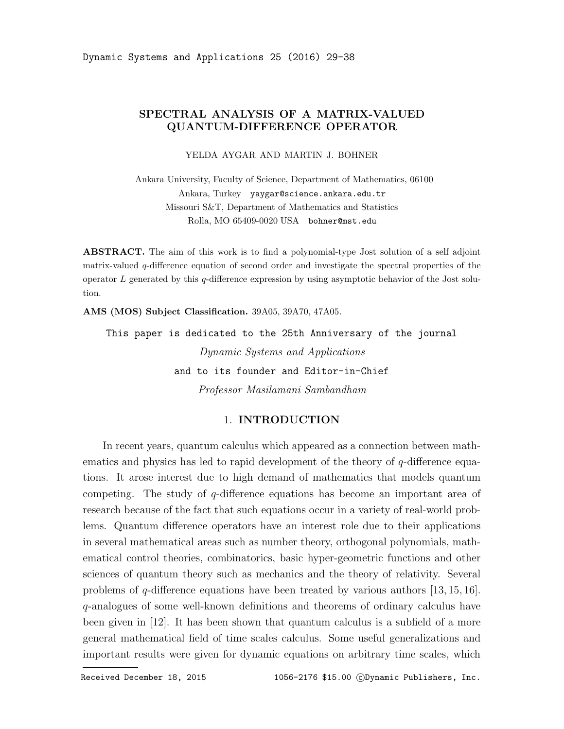## SPECTRAL ANALYSIS OF A MATRIX-VALUED QUANTUM-DIFFERENCE OPERATOR

YELDA AYGAR AND MARTIN J. BOHNER

Ankara University, Faculty of Science, Department of Mathematics, 06100 Ankara, Turkey yaygar@science.ankara.edu.tr Missouri S&T, Department of Mathematics and Statistics Rolla, MO 65409-0020 USA bohner@mst.edu

ABSTRACT. The aim of this work is to find a polynomial-type Jost solution of a self adjoint matrix-valued  $q$ -difference equation of second order and investigate the spectral properties of the operator L generated by this  $q$ -difference expression by using asymptotic behavior of the Jost solution.

AMS (MOS) Subject Classification. 39A05, 39A70, 47A05.

This paper is dedicated to the 25th Anniversary of the journal Dynamic Systems and Applications and to its founder and Editor-in-Chief Professor Masilamani Sambandham

### 1. INTRODUCTION

In recent years, quantum calculus which appeared as a connection between mathematics and physics has led to rapid development of the theory of  $q$ -difference equations. It arose interest due to high demand of mathematics that models quantum competing. The study of q-difference equations has become an important area of research because of the fact that such equations occur in a variety of real-world problems. Quantum difference operators have an interest role due to their applications in several mathematical areas such as number theory, orthogonal polynomials, mathematical control theories, combinatorics, basic hyper-geometric functions and other sciences of quantum theory such as mechanics and the theory of relativity. Several problems of  $q$ -difference equations have been treated by various authors [13, 15, 16]. q-analogues of some well-known definitions and theorems of ordinary calculus have been given in [12]. It has been shown that quantum calculus is a subfield of a more general mathematical field of time scales calculus. Some useful generalizations and important results were given for dynamic equations on arbitrary time scales, which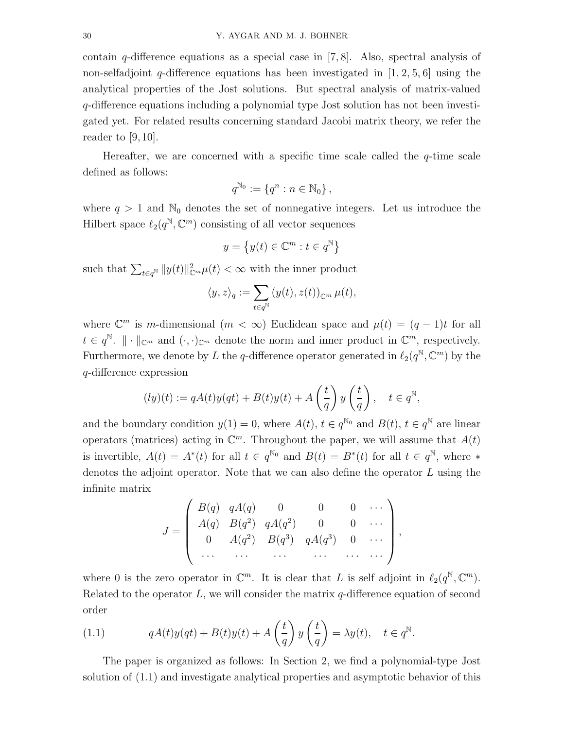contain q-difference equations as a special case in [7, 8]. Also, spectral analysis of non-selfadjoint q-difference equations has been investigated in  $[1, 2, 5, 6]$  using the analytical properties of the Jost solutions. But spectral analysis of matrix-valued q-difference equations including a polynomial type Jost solution has not been investigated yet. For related results concerning standard Jacobi matrix theory, we refer the reader to  $[9, 10]$ .

Hereafter, we are concerned with a specific time scale called the  $q$ -time scale defined as follows:

$$
q^{\mathbb{N}_0}:=\left\{q^n:n\in\mathbb{N}_0\right\},
$$

where  $q > 1$  and  $\mathbb{N}_0$  denotes the set of nonnegative integers. Let us introduce the Hilbert space  $\ell_2(q^{\mathbb{N}}, \mathbb{C}^m)$  consisting of all vector sequences

$$
y=\left\{y(t)\in\mathbb{C}^m: t\in q^{\mathbb{N}}\right\}
$$

such that  $\sum_{t \in q^{\mathbb{N}}} \|y(t)\|_{\mathbb{C}^m}^2 \mu(t) < \infty$  with the inner product

$$
\langle y,z\rangle_q:=\sum_{t\in q^{\mathbb{N}}}{(y(t),z(t))_{\mathbb{C}^m}\,\mu(t)},
$$

where  $\mathbb{C}^m$  is m-dimensional  $(m < \infty)$  Euclidean space and  $\mu(t) = (q-1)t$  for all  $t \in q^{\mathbb{N}}$ .  $\|\cdot\|_{\mathbb{C}^m}$  and  $(\cdot,\cdot)_{\mathbb{C}^m}$  denote the norm and inner product in  $\mathbb{C}^m$ , respectively. Furthermore, we denote by L the q-difference operator generated in  $\ell_2(q^{\mathbb{N}}, \mathbb{C}^m)$  by the q-difference expression

$$
(ly)(t) := qA(t)y(qt) + B(t)y(t) + A\left(\frac{t}{q}\right)y\left(\frac{t}{q}\right), \quad t \in q^{\mathbb{N}},
$$

and the boundary condition  $y(1) = 0$ , where  $A(t)$ ,  $t \in q^{\mathbb{N}_0}$  and  $B(t)$ ,  $t \in q^{\mathbb{N}}$  are linear operators (matrices) acting in  $\mathbb{C}^m$ . Throughout the paper, we will assume that  $A(t)$ is invertible,  $A(t) = A^*(t)$  for all  $t \in q^{\mathbb{N}_0}$  and  $B(t) = B^*(t)$  for all  $t \in q^{\mathbb{N}}$ , where  $*$ denotes the adjoint operator. Note that we can also define the operator  $L$  using the infinite matrix

$$
J = \begin{pmatrix} B(q) & qA(q) & 0 & 0 & 0 & \cdots \\ A(q) & B(q^2) & qA(q^2) & 0 & 0 & \cdots \\ 0 & A(q^2) & B(q^3) & qA(q^3) & 0 & \cdots \\ \cdots & \cdots & \cdots & \cdots & \cdots & \cdots \end{pmatrix},
$$

where 0 is the zero operator in  $\mathbb{C}^m$ . It is clear that L is self adjoint in  $\ell_2(q^{\mathbb{N}}, \mathbb{C}^m)$ . Related to the operator  $L$ , we will consider the matrix  $q$ -difference equation of second order

(1.1) 
$$
qA(t)y(qt) + B(t)y(t) + A\left(\frac{t}{q}\right)y\left(\frac{t}{q}\right) = \lambda y(t), \quad t \in q^{\mathbb{N}}.
$$

The paper is organized as follows: In Section 2, we find a polynomial-type Jost solution of (1.1) and investigate analytical properties and asymptotic behavior of this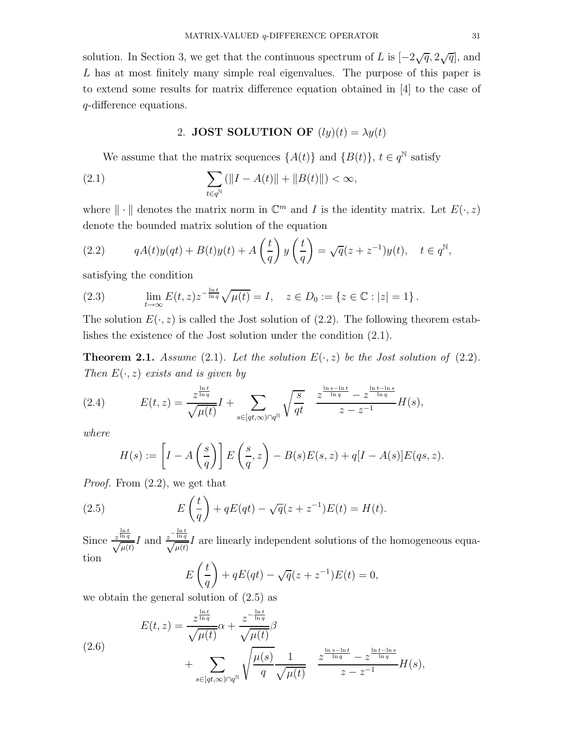solution. In Section 3, we get that the continuous spectrum of L is  $[-2\sqrt{q}, 2\sqrt{q}]$ , and L has at most finitely many simple real eigenvalues. The purpose of this paper is to extend some results for matrix difference equation obtained in [4] to the case of q-difference equations.

# 2. JOST SOLUTION OF  $(ly)(t) = \lambda y(t)$

We assume that the matrix sequences  $\{A(t)\}\$  and  $\{B(t)\}, t \in q^{\mathbb{N}}\$  satisfy

(2.1) 
$$
\sum_{t \in q^{\mathbb{N}}} (||I - A(t)|| + ||B(t)||) < \infty,
$$

where  $\|\cdot\|$  denotes the matrix norm in  $\mathbb{C}^m$  and I is the identity matrix. Let  $E(\cdot, z)$ denote the bounded matrix solution of the equation

(2.2) 
$$
qA(t)y(qt) + B(t)y(t) + A\left(\frac{t}{q}\right)y\left(\frac{t}{q}\right) = \sqrt{q}(z+z^{-1})y(t), \quad t \in q^{\mathbb{N}},
$$

satisfying the condition

(2.3) 
$$
\lim_{t \to \infty} E(t, z) z^{-\frac{\ln t}{\ln q}} \sqrt{\mu(t)} = I, \quad z \in D_0 := \{ z \in \mathbb{C} : |z| = 1 \}.
$$

The solution  $E(\cdot, z)$  is called the Jost solution of (2.2). The following theorem establishes the existence of the Jost solution under the condition (2.1).

**Theorem 2.1.** Assume (2.1). Let the solution  $E(\cdot, z)$  be the Jost solution of (2.2). Then  $E(\cdot, z)$  exists and is given by

(2.4) 
$$
E(t,z) = \frac{z^{\frac{\ln t}{\ln q}}}{\sqrt{\mu(t)}} I + \sum_{s \in [qt,\infty) \cap q^{\mathbb{N}}} \sqrt{\frac{s}{qt}} \frac{z^{\frac{\ln s - \ln t}{\ln q}} - z^{\frac{\ln t - \ln s}{\ln q}}}{z - z^{-1}} H(s),
$$

where

$$
H(s) := \left[I - A\left(\frac{s}{q}\right)\right]E\left(\frac{s}{q}, z\right) - B(s)E(s, z) + q[I - A(s)]E(qs, z).
$$

Proof. From (2.2), we get that

(2.5) 
$$
E\left(\frac{t}{q}\right) + qE(qt) - \sqrt{q}(z+z^{-1})E(t) = H(t).
$$

Since  $\frac{z^{\frac{\ln t}{\ln q}}}{\sqrt{\mu(t)}}I$  and  $\frac{z^{-\frac{\ln t}{\ln q}}}{\sqrt{\mu(t)}}I$  are linearly independent solutions of the homogeneous equation

$$
E\left(\frac{t}{q}\right) + qE(qt) - \sqrt{q}(z+z^{-1})E(t) = 0,
$$

we obtain the general solution of (2.5) as

(2.6)  

$$
E(t,z) = \frac{z^{\frac{\ln t}{\ln q}}}{\sqrt{\mu(t)}} \alpha + \frac{z^{-\frac{\ln t}{\ln q}}}{\sqrt{\mu(t)}} \beta + \sum_{s \in [qt,\infty) \cap q^{\mathbb{N}}} \sqrt{\frac{\mu(s)}{q}} \frac{1}{\sqrt{\mu(t)}} \frac{z^{\frac{\ln s - \ln t}{\ln q}} - z^{\frac{\ln t - \ln s}{\ln q}}}{z - z^{-1}} H(s),
$$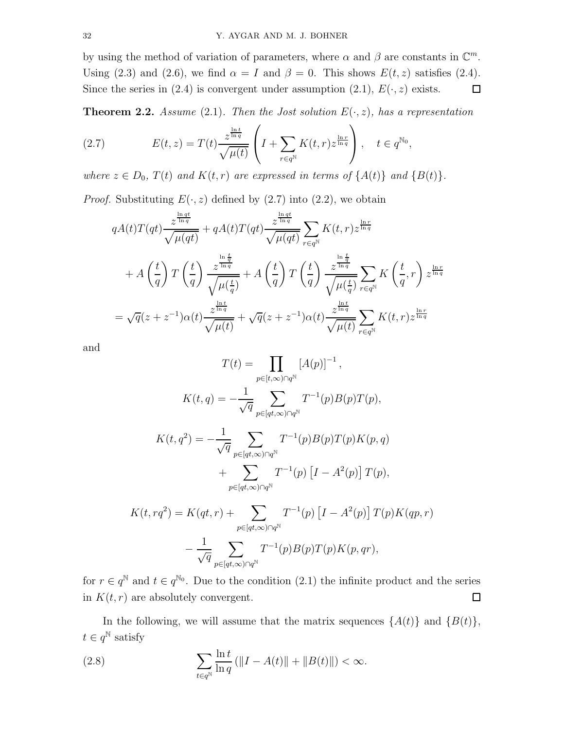by using the method of variation of parameters, where  $\alpha$  and  $\beta$  are constants in  $\mathbb{C}^m$ . Using (2.3) and (2.6), we find  $\alpha = I$  and  $\beta = 0$ . This shows  $E(t, z)$  satisfies (2.4). Since the series in (2.4) is convergent under assumption (2.1),  $E(\cdot, z)$  exists.  $\Box$ 

**Theorem 2.2.** Assume (2.1). Then the Jost solution  $E(\cdot, z)$ , has a representation

(2.7) 
$$
E(t,z) = T(t) \frac{z^{\frac{\ln t}{\ln q}}}{\sqrt{\mu(t)}} \left( I + \sum_{r \in q^{\mathbb{N}}} K(t,r) z^{\frac{\ln r}{\ln q}} \right), \quad t \in q^{\mathbb{N}_0},
$$

where  $z \in D_0$ ,  $T(t)$  and  $K(t, r)$  are expressed in terms of  $\{A(t)\}\$  and  $\{B(t)\}\$ .

*Proof.* Substituting  $E(\cdot, z)$  defined by (2.7) into (2.2), we obtain

$$
qA(t)T(qt) \frac{z^{\frac{\ln qt}{\ln q}}}{\sqrt{\mu(qt)}} + qA(t)T(qt) \frac{z^{\frac{\ln qt}{\ln q}}}{\sqrt{\mu(qt)}} \sum_{r \in q^{\mathbb{N}}} K(t,r) z^{\frac{\ln r}{\ln q}}
$$
  
+ 
$$
A\left(\frac{t}{q}\right)T\left(\frac{t}{q}\right) \frac{z^{\frac{\ln \frac{t}{q}}{\ln q}}}{\sqrt{\mu(\frac{t}{q})}} + A\left(\frac{t}{q}\right)T\left(\frac{t}{q}\right) \frac{z^{\frac{\ln \frac{t}{q}}{\ln q}}}{\sqrt{\mu(\frac{t}{q})}} \sum_{r \in q^{\mathbb{N}}} K\left(\frac{t}{q},r\right) z^{\frac{\ln r}{\ln q}}
$$
  
= 
$$
\sqrt{q}(z+z^{-1})\alpha(t) \frac{z^{\frac{\ln t}{\ln q}}}{\sqrt{\mu(t)}} + \sqrt{q}(z+z^{-1})\alpha(t) \frac{z^{\frac{\ln t}{\ln q}}}{\sqrt{\mu(t)}} \sum_{r \in q^{\mathbb{N}}} K(t,r) z^{\frac{\ln r}{\ln q}}
$$

and

$$
T(t) = \prod_{p \in [t,\infty) \cap q^{\mathbb{N}}} [A(p)]^{-1},
$$
  
\n
$$
K(t,q) = -\frac{1}{\sqrt{q}} \sum_{p \in [qt,\infty) \cap q^{\mathbb{N}}} T^{-1}(p)B(p)T(p),
$$
  
\n
$$
K(t,q^2) = -\frac{1}{\sqrt{q}} \sum_{p \in [qt,\infty) \cap q^{\mathbb{N}}} T^{-1}(p)B(p)T(p)K(p,q)
$$
  
\n
$$
+ \sum_{p \in [qt,\infty) \cap q^{\mathbb{N}}} T^{-1}(p) \left[ I - A^2(p) \right] T(p),
$$

$$
K(t, rq^2) = K(qt, r) + \sum_{p \in [qt, \infty) \cap q^{\mathbb{N}}} T^{-1}(p) \left[ I - A^2(p) \right] T(p) K(qp, r)
$$

$$
- \frac{1}{\sqrt{q}} \sum_{p \in [qt, \infty) \cap q^{\mathbb{N}}} T^{-1}(p) B(p) T(p) K(p, qr),
$$

for  $r \in q^{\mathbb{N}}$  and  $t \in q^{\mathbb{N}_0}$ . Due to the condition  $(2.1)$  the infinite product and the series in  $K(t, r)$  are absolutely convergent.  $\Box$ 

In the following, we will assume that the matrix sequences  $\{A(t)\}\$ and  $\{B(t)\}\$ ,  $t \in q^{\mathbb{N}}$  satisfy

(2.8) 
$$
\sum_{t \in q^{\mathbb{N}}} \frac{\ln t}{\ln q} (\|I - A(t)\| + \|B(t)\|) < \infty.
$$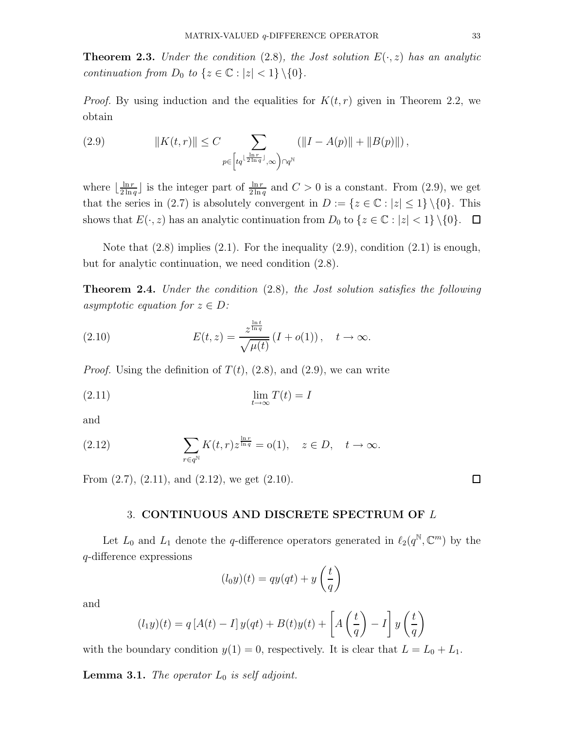**Theorem 2.3.** Under the condition (2.8), the Jost solution  $E(\cdot, z)$  has an analytic continuation from  $D_0$  to  $\{z \in \mathbb{C} : |z| < 1\} \setminus \{0\}.$ 

*Proof.* By using induction and the equalities for  $K(t, r)$  given in Theorem 2.2, we obtain

(2.9) 
$$
||K(t,r)|| \leq C \sum_{p \in \left[tq^{\lfloor \frac{\ln r}{2\ln q} \rfloor}, \infty\right) \cap q^{\mathbb{N}}} (||I - A(p)|| + ||B(p)||),
$$

where  $\frac{\ln r}{2 \ln r}$  $\frac{\ln r}{2 \ln q}$  is the integer part of  $\frac{\ln r}{2 \ln q}$  and  $C > 0$  is a constant. From (2.9), we get that the series in (2.7) is absolutely convergent in  $D := \{z \in \mathbb{C} : |z| \leq 1\} \setminus \{0\}$ . This shows that  $E(\cdot, z)$  has an analytic continuation from  $D_0$  to  $\{z \in \mathbb{C} : |z| < 1\} \setminus \{0\}$ .  $\Box$ 

Note that  $(2.8)$  implies  $(2.1)$ . For the inequality  $(2.9)$ , condition  $(2.1)$  is enough, but for analytic continuation, we need condition (2.8).

Theorem 2.4. Under the condition (2.8), the Jost solution satisfies the following asymptotic equation for  $z \in D$ :

(2.10) 
$$
E(t,z) = \frac{z^{\frac{\ln t}{\ln q}}}{\sqrt{\mu(t)}} (I + o(1)), \quad t \to \infty.
$$

*Proof.* Using the definition of  $T(t)$ , (2.8), and (2.9), we can write

$$
\lim_{t \to \infty} T(t) = I
$$

and

(2.12) 
$$
\sum_{r \in q^{\mathbb{N}}} K(t, r) z^{\frac{\ln r}{\ln q}} = o(1), \quad z \in D, \quad t \to \infty.
$$

From  $(2.7)$ ,  $(2.11)$ , and  $(2.12)$ , we get  $(2.10)$ .

#### 3. CONTINUOUS AND DISCRETE SPECTRUM OF L

Let  $L_0$  and  $L_1$  denote the q-difference operators generated in  $\ell_2(q^{\mathbb{N}}, \mathbb{C}^m)$  by the q-difference expressions

$$
(l_0y)(t) = qy(qt) + y\left(\frac{t}{q}\right)
$$

and

$$
(l_1y)(t) = q [A(t) - I] y(qt) + B(t)y(t) + \left[ A\left(\frac{t}{q}\right) - I \right] y \left(\frac{t}{q}\right)
$$

with the boundary condition  $y(1) = 0$ , respectively. It is clear that  $L = L_0 + L_1$ .

**Lemma 3.1.** The operator  $L_0$  is self adjoint.

 $\Box$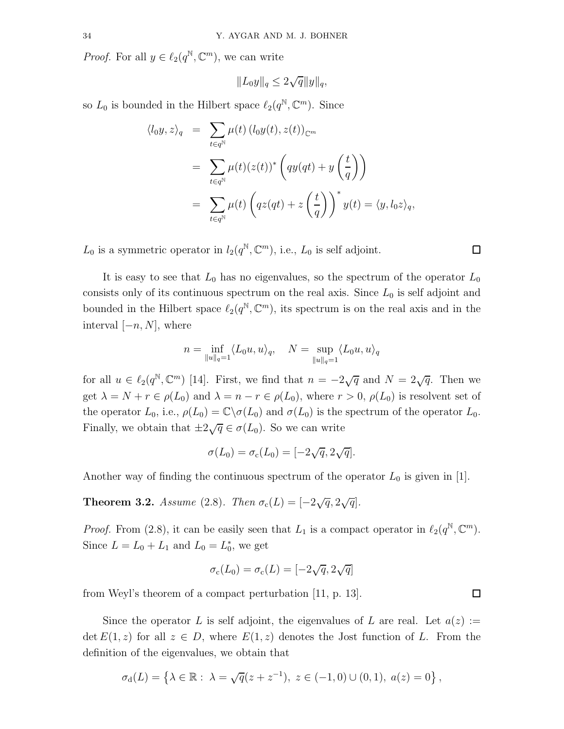*Proof.* For all  $y \in \ell_2(q^{\mathbb{N}}, \mathbb{C}^m)$ , we can write

$$
||L_0y||_q \leq 2\sqrt{q}||y||_q,
$$

so  $L_0$  is bounded in the Hilbert space  $\ell_2(q^{\mathbb{N}}, \mathbb{C}^m)$ . Since

$$
\langle l_0 y, z \rangle_q = \sum_{t \in q^{\mathbb{N}}} \mu(t) \left( l_0 y(t), z(t) \right)_{\mathbb{C}^m}
$$
  
= 
$$
\sum_{t \in q^{\mathbb{N}}} \mu(t) (z(t))^* \left( q y(qt) + y \left( \frac{t}{q} \right) \right)
$$
  
= 
$$
\sum_{t \in q^{\mathbb{N}}} \mu(t) \left( q z(qt) + z \left( \frac{t}{q} \right) \right)^* y(t) = \langle y, l_0 z \rangle_q,
$$

 $L_0$  is a symmetric operator in  $l_2(q^{\mathbb{N}}, \mathbb{C}^m)$ , i.e.,  $L_0$  is self adjoint.

It is easy to see that  $L_0$  has no eigenvalues, so the spectrum of the operator  $L_0$ consists only of its continuous spectrum on the real axis. Since  $L_0$  is self adjoint and bounded in the Hilbert space  $\ell_2(q^{\mathbb{N}}, \mathbb{C}^m)$ , its spectrum is on the real axis and in the interval  $[-n, N]$ , where

$$
n = \inf_{\|u\|_q = 1} \langle L_0 u, u \rangle_q, \quad N = \sup_{\|u\|_q = 1} \langle L_0 u, u \rangle_q
$$

for all  $u \in \ell_2(q^{\mathbb{N}}, \mathbb{C}^m)$  [14]. First, we find that  $n = -2\sqrt{q}$  and  $N = 2\sqrt{q}$ . Then we get  $\lambda = N + r \in \rho(L_0)$  and  $\lambda = n - r \in \rho(L_0)$ , where  $r > 0$ ,  $\rho(L_0)$  is resolvent set of the operator  $L_0$ , i.e.,  $\rho(L_0) = \mathbb{C} \setminus \sigma(L_0)$  and  $\sigma(L_0)$  is the spectrum of the operator  $L_0$ . Finally, we obtain that  $\pm 2\sqrt{q} \in \sigma(L_0)$ . So we can write

$$
\sigma(L_0) = \sigma_{\rm c}(L_0) = [-2\sqrt{q}, 2\sqrt{q}].
$$

Another way of finding the continuous spectrum of the operator  $L_0$  is given in [1].

**Theorem 3.2.** Assume (2.8). Then  $\sigma_c(L) = [-2\sqrt{q}, 2\sqrt{q}]$ .

*Proof.* From (2.8), it can be easily seen that  $L_1$  is a compact operator in  $\ell_2(q^{\mathbb{N}}, \mathbb{C}^m)$ . Since  $L = L_0 + L_1$  and  $L_0 = L_0^*$ , we get

$$
\sigma_{\rm c}(L_0)=\sigma_{\rm c}(L)=[-2\sqrt{q},2\sqrt{q}]
$$

from Weyl's theorem of a compact perturbation [11, p. 13].

Since the operator L is self adjoint, the eigenvalues of L are real. Let  $a(z) :=$  $\det E(1, z)$  for all  $z \in D$ , where  $E(1, z)$  denotes the Jost function of L. From the definition of the eigenvalues, we obtain that

$$
\sigma_{\rm d}(L) = \left\{ \lambda \in \mathbb{R} : \ \lambda = \sqrt{q}(z + z^{-1}), \ z \in (-1,0) \cup (0,1), \ a(z) = 0 \right\},\
$$

口

口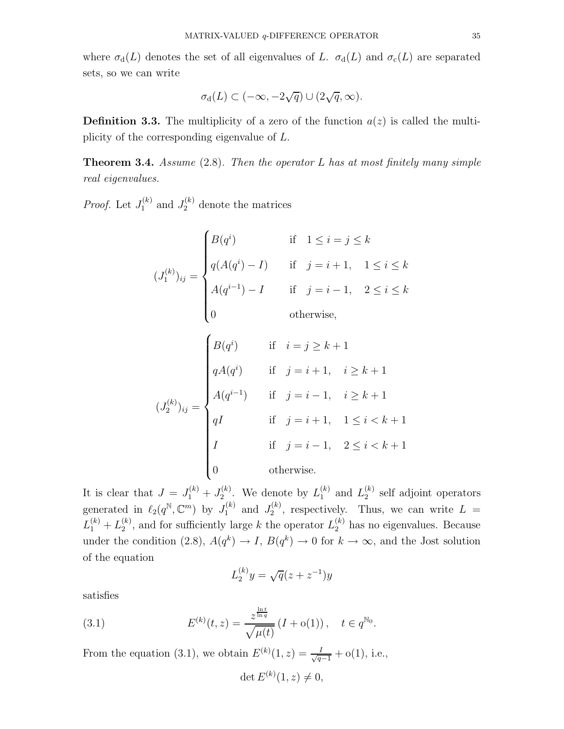where  $\sigma_d(L)$  denotes the set of all eigenvalues of L.  $\sigma_d(L)$  and  $\sigma_c(L)$  are separated sets, so we can write

$$
\sigma_{\mathbf{d}}(L) \subset (-\infty, -2\sqrt{q}) \cup (2\sqrt{q}, \infty).
$$

**Definition 3.3.** The multiplicity of a zero of the function  $a(z)$  is called the multiplicity of the corresponding eigenvalue of L.

**Theorem 3.4.** Assume  $(2.8)$ . Then the operator L has at most finitely many simple real eigenvalues.

*Proof.* Let  $J_1^{(k)}$  and  $J_2^{(k)}$  denote the matrices

 $\epsilon$ 

$$
(J_1^{(k)})_{ij} = \begin{cases} B(q^i) & \text{if } 1 \le i = j \le k \\ q(A(q^i) - I) & \text{if } j = i + 1, \quad 1 \le i \le k \\ A(q^{i-1}) - I & \text{if } j = i - 1, \quad 2 \le i \le k \\ 0 & \text{otherwise,} \end{cases}
$$

$$
(J_2^{(k)})_{ij} = \begin{cases} B(q^i) & \text{if } i = j \ge k+1 \\ qA(q^i) & \text{if } j = i+1, i \ge k+1 \\ A(q^{i-1}) & \text{if } j = i-1, i \ge k+1 \\ qI & \text{if } j = i+1, 1 \le i < k+1 \\ I & \text{if } j = i-1, 2 \le i < k+1 \\ 0 & \text{otherwise.} \end{cases}
$$

It is clear that  $J = J_1^{(k)} + J_2^{(k)}$  $L_2^{(k)}$ . We denote by  $L_1^{(k)}$  $_1^{(k)}$  and  $L_2^{(k)}$  $2^{k}$  self adjoint operators generated in  $\ell_2(q^{\mathbb{N}}, \mathbb{C}^m)$  by  $J_1^{(k)}$  and  $J_2^{(k)}$  $2^{(k)}$ , respectively. Thus, we can write  $L =$  $L_1^{(k)}+L_2^{(k)}$  $\mathcal{L}_2^{(k)}$ , and for sufficiently large k the operator  $L_2^{(k)}$  has no eigenvalues. Because under the condition (2.8),  $A(q^k) \to I$ ,  $B(q^k) \to 0$  for  $k \to \infty$ , and the Jost solution of the equation

$$
L_2^{(k)}y = \sqrt{q}(z + z^{-1})y
$$

satisfies

(3.1) 
$$
E^{(k)}(t,z) = \frac{z^{\frac{\ln t}{\ln q}}}{\sqrt{\mu(t)}} (I + o(1)), \quad t \in q^{\mathbb{N}_0}.
$$

From the equation (3.1), we obtain  $E^{(k)}(1, z) = \frac{I}{\sqrt{q-1}} + o(1)$ , i.e.,

$$
\det E^{(k)}(1,z) \neq 0,
$$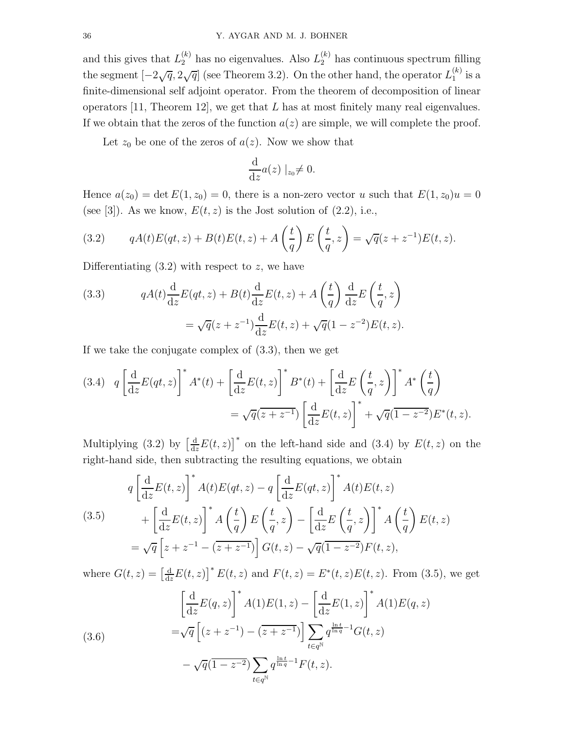and this gives that  $L_2^{(k)}$  has no eigenvalues. Also  $L_2^{(k)}$  has continuous spectrum filling the segment  $[-2\sqrt{q}, 2\sqrt{q}]$  (see Theorem 3.2). On the other hand, the operator  $L_1^{(k)}$  $j^{(\kappa)}$  is a finite-dimensional self adjoint operator. From the theorem of decomposition of linear operators [11, Theorem 12], we get that  $L$  has at most finitely many real eigenvalues. If we obtain that the zeros of the function  $a(z)$  are simple, we will complete the proof.

Let  $z_0$  be one of the zeros of  $a(z)$ . Now we show that

$$
\frac{\mathrm{d}}{\mathrm{d}z}a(z)\mid_{z_0}\neq 0.
$$

Hence  $a(z_0) = \det E(1, z_0) = 0$ , there is a non-zero vector u such that  $E(1, z_0)u = 0$ (see [3]). As we know,  $E(t, z)$  is the Jost solution of (2.2), i.e.,

(3.2) 
$$
qA(t)E(qt, z) + B(t)E(t, z) + A\left(\frac{t}{q}\right)E\left(\frac{t}{q}, z\right) = \sqrt{q}(z + z^{-1})E(t, z).
$$

Differentiating  $(3.2)$  with respect to z, we have

(3.3) 
$$
qA(t)\frac{d}{dz}E(qt, z) + B(t)\frac{d}{dz}E(t, z) + A\left(\frac{t}{q}\right)\frac{d}{dz}E\left(\frac{t}{q}, z\right)
$$

$$
= \sqrt{q}(z + z^{-1})\frac{d}{dz}E(t, z) + \sqrt{q}(1 - z^{-2})E(t, z).
$$

If we take the conjugate complex of (3.3), then we get

(3.4) 
$$
q \left[ \frac{d}{dz} E(qt, z) \right]^* A^*(t) + \left[ \frac{d}{dz} E(t, z) \right]^* B^*(t) + \left[ \frac{d}{dz} E\left(\frac{t}{q}, z\right) \right]^* A^*\left(\frac{t}{q}\right)
$$

$$
= \sqrt{q} (\overline{z + z^{-1}}) \left[ \frac{d}{dz} E(t, z) \right]^* + \sqrt{q} (\overline{1 - z^{-2}}) E^*(t, z).
$$

Multiplying (3.2) by  $\left[\frac{d}{dz}E(t,z)\right]^*$  on the left-hand side and (3.4) by  $E(t,z)$  on the right-hand side, then subtracting the resulting equations, we obtain

(3.5)  
\n
$$
q \left[ \frac{d}{dz} E(t, z) \right]^* A(t) E(qt, z) - q \left[ \frac{d}{dz} E(qt, z) \right]^* A(t) E(t, z)
$$
\n
$$
+ \left[ \frac{d}{dz} E(t, z) \right]^* A \left( \frac{t}{q} \right) E \left( \frac{t}{q}, z \right) - \left[ \frac{d}{dz} E \left( \frac{t}{q}, z \right) \right]^* A \left( \frac{t}{q} \right) E(t, z)
$$
\n
$$
= \sqrt{q} \left[ z + z^{-1} - (\overline{z + z^{-1}}) \right] G(t, z) - \sqrt{q} (\overline{1 - z^{-2}}) F(t, z),
$$

where  $G(t, z) = \left[\frac{d}{dz}E(t, z)\right]^* E(t, z)$  and  $F(t, z) = E^*(t, z)E(t, z)$ . From (3.5), we get

(3.6)  
\n
$$
\left[\frac{d}{dz}E(q,z)\right]^* A(1)E(1,z) - \left[\frac{d}{dz}E(1,z)\right]^* A(1)E(q,z)
$$
\n
$$
= \sqrt{q}\left[(z+z^{-1}) - (\overline{z+z^{-1}})\right] \sum_{t \in q^{\mathbb{N}}} q^{\frac{\ln t}{\ln q} - 1} G(t,z)
$$
\n
$$
- \sqrt{q}(1-z^{-2}) \sum_{t \in q^{\mathbb{N}}} q^{\frac{\ln t}{\ln q} - 1} F(t,z).
$$